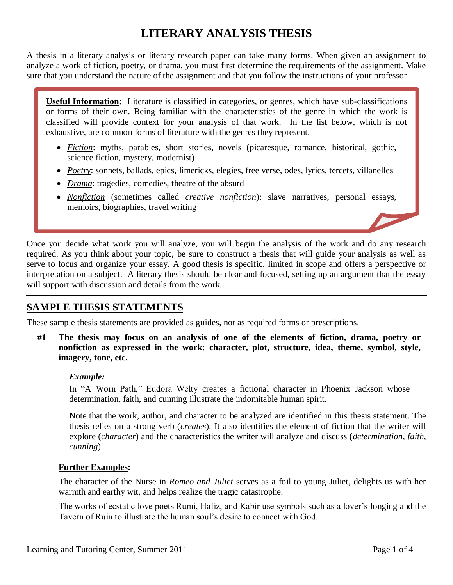# **LITERARY ANALYSIS THESIS**

A thesis in a literary analysis or literary research paper can take many forms. When given an assignment to analyze a work of fiction, poetry, or drama, you must first determine the requirements of the assignment. Make sure that you understand the nature of the assignment and that you follow the instructions of your professor.

**Useful Information:** Literature is classified in categories, or genres, which have sub-classifications or forms of their own. Being familiar with the characteristics of the genre in which the work is classified will provide context for your analysis of that work. In the list below, which is not exhaustive, are common forms of literature with the genres they represent.

- *Fiction*: myths, parables, short stories, novels (picaresque, romance, historical, gothic, science fiction, mystery, modernist)
- *Poetry*: sonnets, ballads, epics, limericks, elegies, free verse, odes, lyrics, tercets, villanelles
- *Drama*: tragedies, comedies, theatre of the absurd
- *Nonfiction* (sometimes called *creative nonfiction*): slave narratives, personal essays, memoirs, biographies, travel writing

Once you decide what work you will analyze, you will begin the analysis of the work and do any research required. As you think about your topic, be sure to construct a thesis that will guide your analysis as well as serve to focus and organize your essay. A good thesis is specific, limited in scope and offers a perspective or interpretation on a subject. A literary thesis should be clear and focused, setting up an argument that the essay will support with discussion and details from the work.

# **SAMPLE THESIS STATEMENTS**

These sample thesis statements are provided as guides, not as required forms or prescriptions.

**#1 The thesis may focus on an analysis of one of the elements of fiction, drama, poetry or nonfiction as expressed in the work: character, plot, structure, idea, theme, symbol, style, imagery, tone, etc.**

#### *Example:*

In "A Worn Path," Eudora Welty creates a fictional character in Phoenix Jackson whose determination, faith, and cunning illustrate the indomitable human spirit.

Note that the work, author, and character to be analyzed are identified in this thesis statement. The thesis relies on a strong verb (*creates*). It also identifies the element of fiction that the writer will explore (*character*) and the characteristics the writer will analyze and discuss (*determination*, *faith*, *cunning*).

#### **Further Examples:**

The character of the Nurse in *Romeo and Juliet* serves as a foil to young Juliet, delights us with her warmth and earthy wit, and helps realize the tragic catastrophe.

The works of ecstatic love poets Rumi, Hafiz, and Kabir use symbols such as a lover's longing and the Tavern of Ruin to illustrate the human soul's desire to connect with God.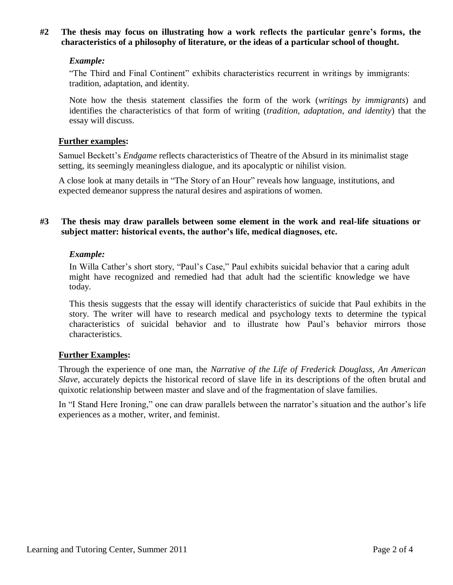## **#2 The thesis may focus on illustrating how a work reflects the particular genre's forms, the characteristics of a philosophy of literature, or the ideas of a particular school of thought.**

## *Example:*

"The Third and Final Continent" exhibits characteristics recurrent in writings by immigrants: tradition, adaptation, and identity.

Note how the thesis statement classifies the form of the work (*writings by immigrants*) and identifies the characteristics of that form of writing (*tradition, adaptation, and identity*) that the essay will discuss.

## **Further examples:**

Samuel Beckett's *Endgame* reflects characteristics of Theatre of the Absurd in its minimalist stage setting, its seemingly meaningless dialogue, and its apocalyptic or nihilist vision.

A close look at many details in "The Story of an Hour" reveals how language, institutions, and expected demeanor suppress the natural desires and aspirations of women.

## **#3 The thesis may draw parallels between some element in the work and real-life situations or subject matter: historical events, the author's life, medical diagnoses, etc.**

## *Example:*

In Willa Cather's short story, "Paul's Case," Paul exhibits suicidal behavior that a caring adult might have recognized and remedied had that adult had the scientific knowledge we have today.

This thesis suggests that the essay will identify characteristics of suicide that Paul exhibits in the story. The writer will have to research medical and psychology texts to determine the typical characteristics of suicidal behavior and to illustrate how Paul's behavior mirrors those characteristics.

#### **Further Examples:**

Through the experience of one man, the *Narrative of the Life of Frederick Douglass, An American Slave*, accurately depicts the historical record of slave life in its descriptions of the often brutal and quixotic relationship between master and slave and of the fragmentation of slave families.

In "I Stand Here Ironing," one can draw parallels between the narrator's situation and the author's life experiences as a mother, writer, and feminist.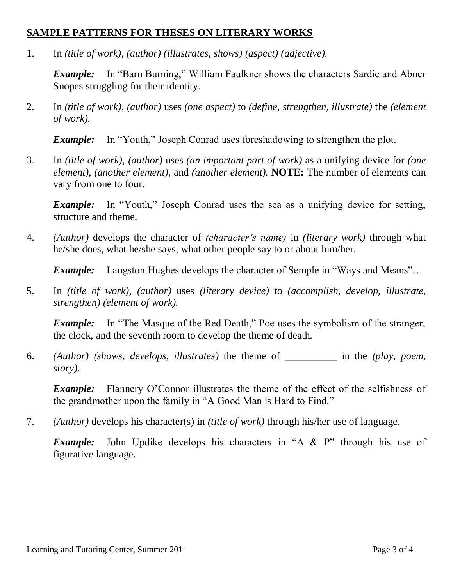# **SAMPLE PATTERNS FOR THESES ON LITERARY WORKS**

1. In *(title of work)*, *(author) (illustrates, shows) (aspect) (adjective).*

*Example:* In "Barn Burning," William Faulkner shows the characters Sardie and Abner Snopes struggling for their identity.

2. In *(title of work)*, *(author)* uses *(one aspect)* to *(define, strengthen, illustrate)* the *(element of work).*

*Example:* In "Youth," Joseph Conrad uses foreshadowing to strengthen the plot.

3. In *(title of work)*, *(author)* uses *(an important part of work)* as a unifying device for *(one element), (another element),* and *(another element).* **NOTE:** The number of elements can vary from one to four.

*Example:* In "Youth," Joseph Conrad uses the sea as a unifying device for setting, structure and theme.

4. *(Author)* develops the character of *(character's name)* in *(literary work)* through what he/she does, what he/she says, what other people say to or about him/her.

*Example:* Langston Hughes develops the character of Semple in "Ways and Means"...

5. In *(title of work)*, *(author)* uses *(literary device)* to *(accomplish, develop, illustrate, strengthen) (element of work).*

*Example:* In "The Masque of the Red Death," Poe uses the symbolism of the stranger, the clock, and the seventh room to develop the theme of death.

6. *(Author) (shows, develops, illustrates)* the theme of *\_\_\_\_\_\_\_\_\_\_* in the *(play, poem, story)*.

*Example:* Flannery O'Connor illustrates the theme of the effect of the selfishness of the grandmother upon the family in "A Good Man is Hard to Find."

7. *(Author)* develops his character(s) in *(title of work)* through his/her use of language.

*Example:* John Updike develops his characters in "A & P" through his use of figurative language.